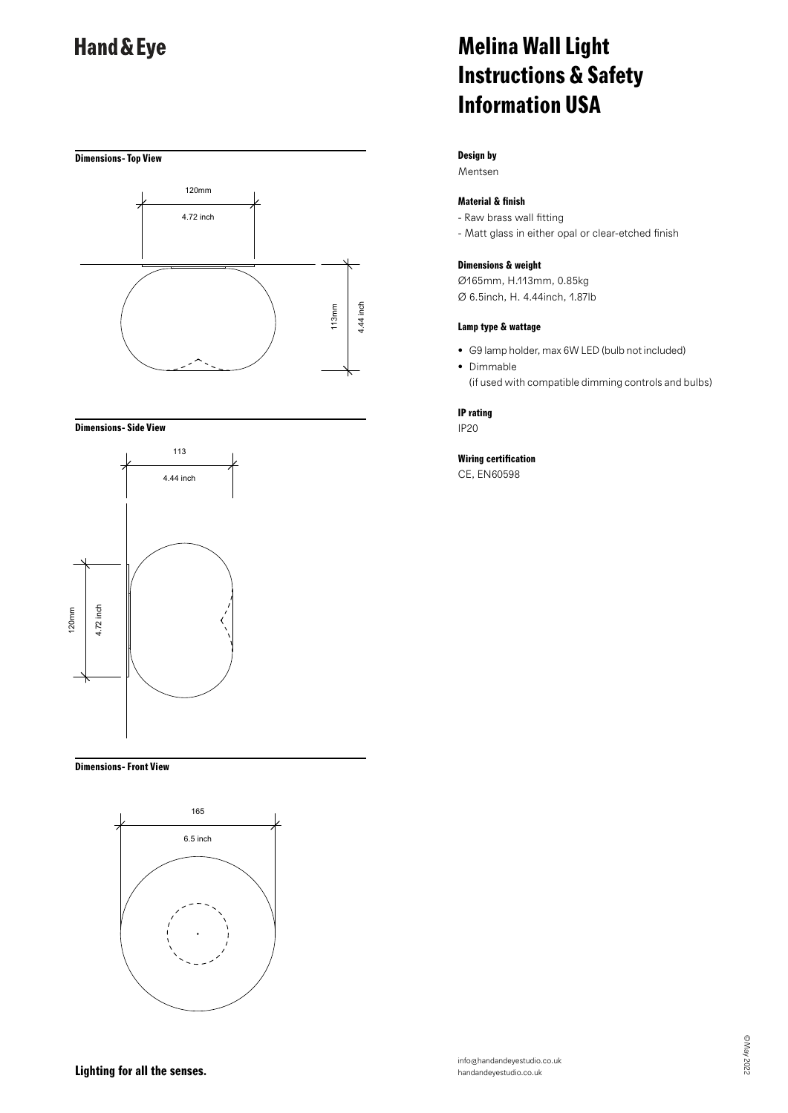# **Dimensions- Top View** USA



#### **Dimensions- Side View**



#### **Dimensions- Front View**



# **Melina Wall Light Instructions & Safety Information USA**

### **Design by**

Mentsen

### **Material & finish**

- Raw brass wall fitting
- Matt glass in either opal or clear-etched finish

#### **Dimensions & weight**

Ø165mm, H.113mm, 0.85kg Ø 6.5inch, H. 4.44inch, 1.87lb

#### **Lamp type & wattage**

- G9 lamp holder, max 6W LED (bulb not included)
- Dimmable (if used with compatible dimming controls and bulbs)

#### **IP rating**

IP20

### **Wiring certification**

CE, EN60598

**Lighting for all the senses.**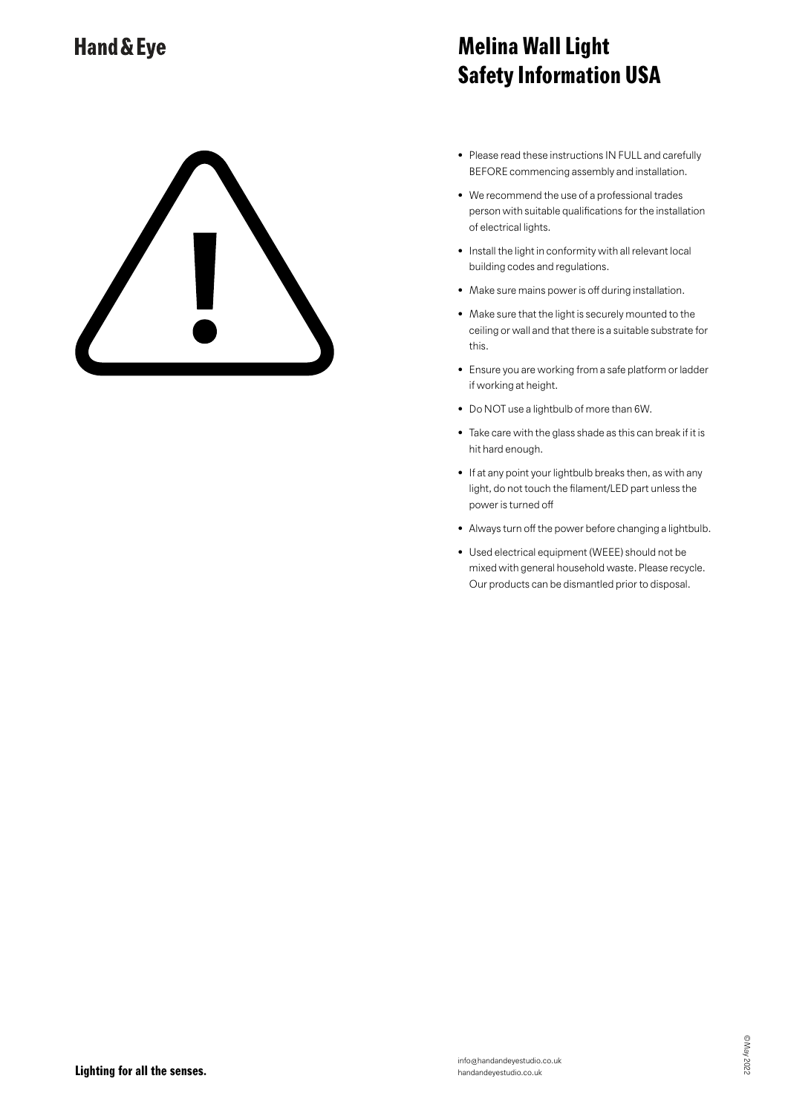# **Melina Wall Light Safety Information USA**

- Please read these instructions IN FULL and carefully BEFORE commencing assembly and installation.
- We recommend the use of a professional trades person with suitable qualifications for the installation of electrical lights.
- Install the light in conformity with all relevant local building codes and regulations.
- Make sure mains power is off during installation.
- Make sure that the light is securely mounted to the ceiling or wall and that there is a suitable substrate for this.
- Ensure you are working from a safe platform or ladder if working at height.
- Do NOT use a lightbulb of more than 6W.
- Take care with the glass shade as this can break if it is hit hard enough.
- If at any point your lightbulb breaks then, as with any light, do not touch the filament/LED part unless the power is turned off
- Always turn off the power before changing a lightbulb.
- Used electrical equipment (WEEE) should not be mixed with general household waste. Please recycle. Our products can be dismantled prior to disposal.

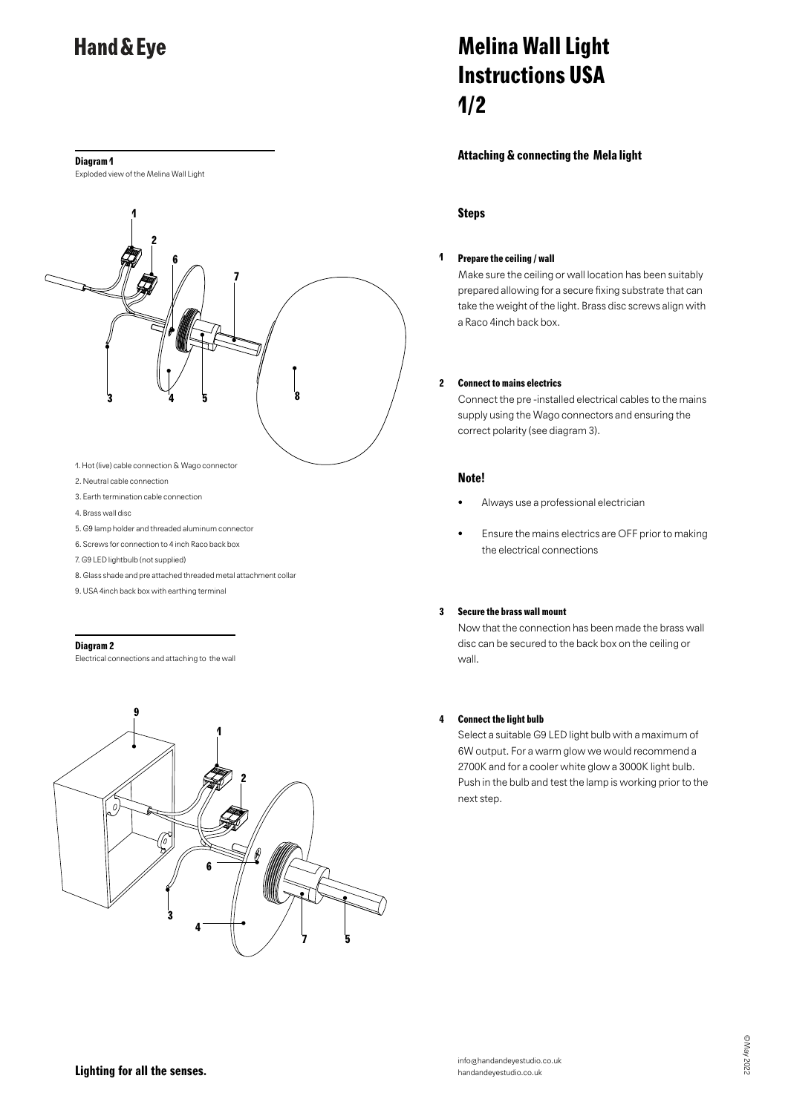#### **Diagram 1**

Exploded view of the Melina Wall Light



- 
- 2. Neutral cable connection
- 3. Earth termination cable connection
- 4. Brass wall disc
- 5. G9 lamp holder and threaded aluminum connector
- 6. Screws for connection to 4 inch Raco back box
- 7. G9 LED lightbulb (not supplied)
- 8. Glass shade and pre attached threaded metal attachment collar
- 9. USA 4inch back box with earthing terminal

#### **Diagram 2**

Electrical connections and attaching to the wall

## **9 1 2**  $\mathcal{O}_{\mathcal{A}}$ **6 3 4 75**

# **Melina Wall Light Instructions USA 1/2**

### **Attaching & connecting the Mela light**

### **Steps**

#### **1 Prepare the ceiling / wall**

Make sure the ceiling or wall location has been suitably prepared allowing for a secure fixing substrate that can take the weight of the light. Brass disc screws align with a Raco 4inch back box.

#### **2 Connect to mains electrics**

Connect the pre -installed electrical cables to the mains supply using the Wago connectors and ensuring the correct polarity (see diagram 3).

#### **Note!**

- Always use a professional electrician
- Ensure the mains electrics are OFF prior to making the electrical connections

#### **3 Secure the brass wall mount**

Now that the connection has been made the brass wall disc can be secured to the back box on the ceiling or wall.

### **4 Connect the light bulb**

Select a suitable G9 LED light bulb with a maximum of 6W output. For a warm glow we would recommend a 2700K and for a cooler white glow a 3000K light bulb. Push in the bulb and test the lamp is working prior to the next step.